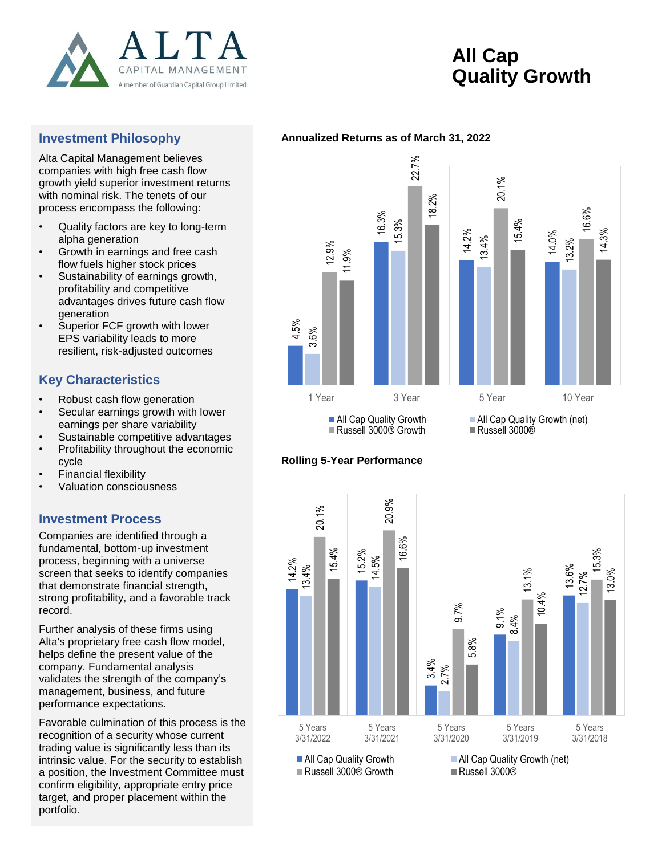

# **All Cap Quality Growth**

### **Investment Philosophy**

Alta Capital Management believes companies with high free cash flow growth yield superior investment returns with nominal risk. The tenets of our process encompass the following:

- Quality factors are key to long-term alpha generation
- Growth in earnings and free cash flow fuels higher stock prices
- Sustainability of earnings growth, profitability and competitive advantages drives future cash flow generation
- Superior FCF growth with lower EPS variability leads to more resilient, risk-adjusted outcomes

## **Key Characteristics**

- Robust cash flow generation
- Secular earnings growth with lower earnings per share variability
- Sustainable competitive advantages
- Profitability throughout the economic cycle
- Financial flexibility
- Valuation consciousness

### **Investment Process**

Companies are identified through a fundamental, bottom-up investment process, beginning with a universe screen that seeks to identify companies that demonstrate financial strength, strong profitability, and a favorable track record.

Further analysis of these firms using Alta's proprietary free cash flow model, helps define the present value of the company. Fundamental analysis validates the strength of the company's management, business, and future performance expectations.

Favorable culmination of this process is the recognition of a security whose current trading value is significantly less than its intrinsic value. For the security to establish a position, the Investment Committee must confirm eligibility, appropriate entry price target, and proper placement within the portfolio.

### **Annualized Returns as of March 31, 2022**



### **Rolling 5-Year Performance**